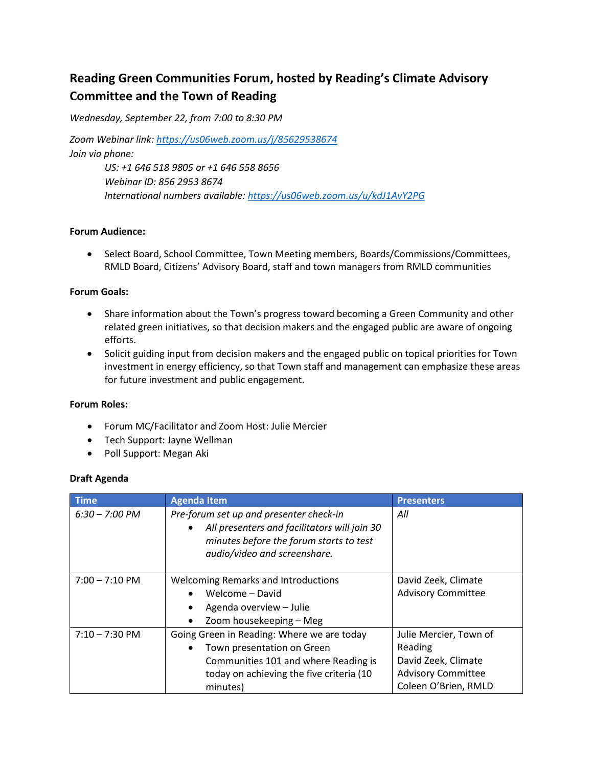# **Reading Green Communities Forum, hosted by Reading's Climate Advisory Committee and the Town of Reading**

*Wednesday, September 22, from 7:00 to 8:30 PM*

*Zoom Webinar link[: https://us06web.zoom.us/j/85629538674](https://us06web.zoom.us/j/85629538674) Join via phone:* 

> *US: +1 646 518 9805 or +1 646 558 8656 Webinar ID: 856 2953 8674 International numbers available:<https://us06web.zoom.us/u/kdJ1AvY2PG>*

## **Forum Audience:**

• Select Board, School Committee, Town Meeting members, Boards/Commissions/Committees, RMLD Board, Citizens' Advisory Board, staff and town managers from RMLD communities

### **Forum Goals:**

- Share information about the Town's progress toward becoming a Green Community and other related green initiatives, so that decision makers and the engaged public are aware of ongoing efforts.
- Solicit guiding input from decision makers and the engaged public on topical priorities for Town investment in energy efficiency, so that Town staff and management can emphasize these areas for future investment and public engagement.

### **Forum Roles:**

- Forum MC/Facilitator and Zoom Host: Julie Mercier
- Tech Support: Jayne Wellman
- Poll Support: Megan Aki

### **Draft Agenda**

| <b>Time</b>              | <b>Agenda Item</b>                                                                                                                                                              | <b>Presenters</b>                                                                                             |
|--------------------------|---------------------------------------------------------------------------------------------------------------------------------------------------------------------------------|---------------------------------------------------------------------------------------------------------------|
| $6:30 - 7:00 \text{ PM}$ | Pre-forum set up and presenter check-in<br>All presenters and facilitators will join 30<br>$\bullet$<br>minutes before the forum starts to test<br>audio/video and screenshare. | All                                                                                                           |
| $7:00 - 7:10 \text{ PM}$ | <b>Welcoming Remarks and Introductions</b><br>Welcome - David<br>Agenda overview - Julie<br>Zoom housekeeping - Meg                                                             | David Zeek, Climate<br><b>Advisory Committee</b>                                                              |
| $7:10 - 7:30 \text{ PM}$ | Going Green in Reading: Where we are today<br>Town presentation on Green<br>Communities 101 and where Reading is<br>today on achieving the five criteria (10<br>minutes)        | Julie Mercier, Town of<br>Reading<br>David Zeek, Climate<br><b>Advisory Committee</b><br>Coleen O'Brien, RMLD |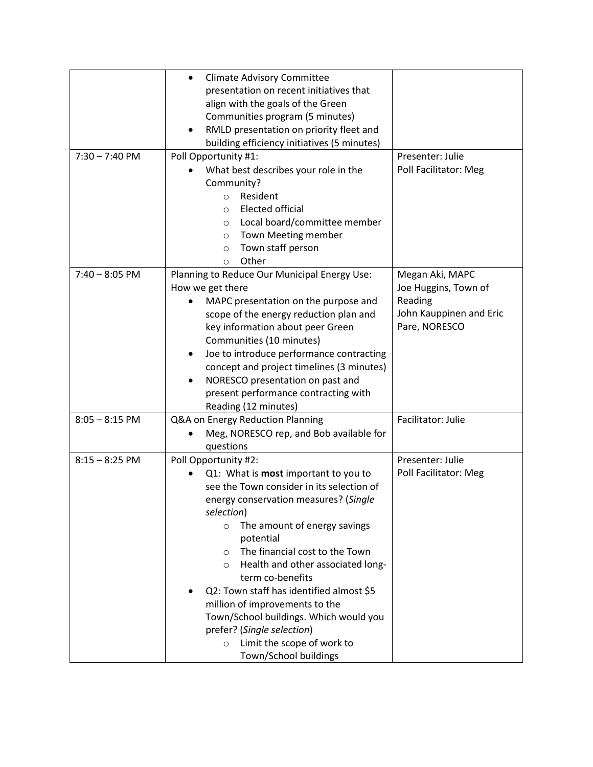|                  | <b>Climate Advisory Committee</b><br>٠                |                         |
|------------------|-------------------------------------------------------|-------------------------|
|                  | presentation on recent initiatives that               |                         |
|                  | align with the goals of the Green                     |                         |
|                  | Communities program (5 minutes)                       |                         |
|                  | RMLD presentation on priority fleet and               |                         |
|                  | building efficiency initiatives (5 minutes)           |                         |
| $7:30 - 7:40$ PM | Poll Opportunity #1:                                  | Presenter: Julie        |
|                  | What best describes your role in the                  | Poll Facilitator: Meg   |
|                  |                                                       |                         |
|                  | Community?                                            |                         |
|                  | Resident<br>$\circ$                                   |                         |
|                  | <b>Elected official</b><br>$\circ$                    |                         |
|                  | Local board/committee member<br>$\circ$               |                         |
|                  | Town Meeting member<br>$\circ$                        |                         |
|                  | Town staff person<br>$\circ$                          |                         |
|                  | Other<br>$\circ$                                      |                         |
| $7:40 - 8:05$ PM | Planning to Reduce Our Municipal Energy Use:          | Megan Aki, MAPC         |
|                  | How we get there                                      | Joe Huggins, Town of    |
|                  | MAPC presentation on the purpose and                  | Reading                 |
|                  | scope of the energy reduction plan and                | John Kauppinen and Eric |
|                  | key information about peer Green                      | Pare, NORESCO           |
|                  | Communities (10 minutes)                              |                         |
|                  | Joe to introduce performance contracting<br>$\bullet$ |                         |
|                  | concept and project timelines (3 minutes)             |                         |
|                  | NORESCO presentation on past and<br>$\bullet$         |                         |
|                  | present performance contracting with                  |                         |
|                  | Reading (12 minutes)                                  |                         |
| $8:05 - 8:15$ PM | Q&A on Energy Reduction Planning                      | Facilitator: Julie      |
|                  | Meg, NORESCO rep, and Bob available for               |                         |
|                  | questions                                             |                         |
|                  |                                                       |                         |
| $8:15 - 8:25$ PM | Poll Opportunity #2:                                  | Presenter: Julie        |
|                  | Q1: What is most important to you to                  | Poll Facilitator: Meg   |
|                  | see the Town consider in its selection of             |                         |
|                  | energy conservation measures? (Single                 |                         |
|                  | selection)                                            |                         |
|                  | The amount of energy savings<br>$\circ$               |                         |
|                  | potential                                             |                         |
|                  | The financial cost to the Town<br>$\circ$             |                         |
|                  | Health and other associated long-<br>$\circ$          |                         |
|                  | term co-benefits                                      |                         |
|                  | Q2: Town staff has identified almost \$5              |                         |
|                  | million of improvements to the                        |                         |
|                  | Town/School buildings. Which would you                |                         |
|                  | prefer? (Single selection)                            |                         |
|                  | Limit the scope of work to<br>$\circ$                 |                         |
|                  | Town/School buildings                                 |                         |